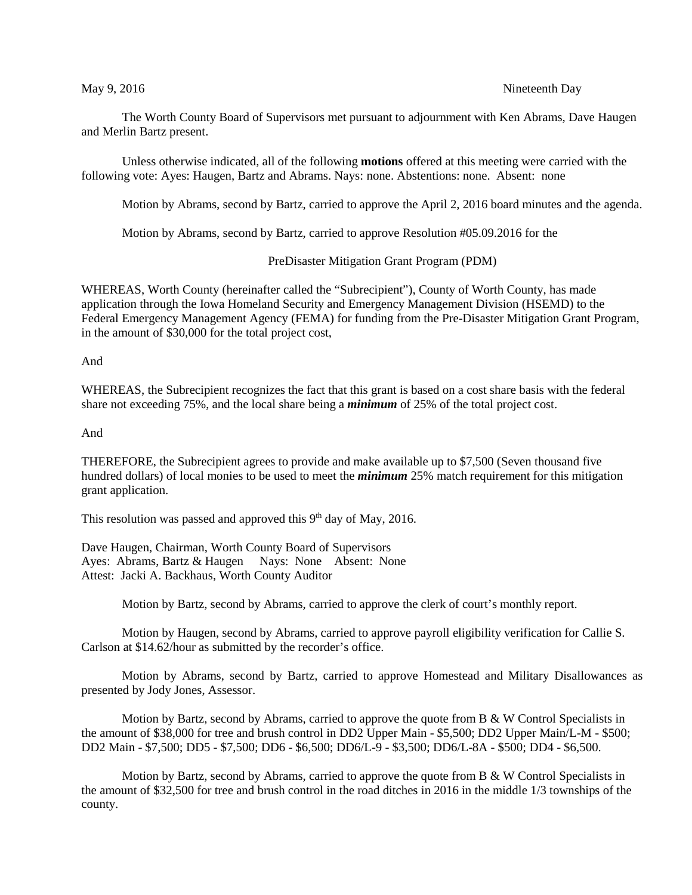## May 9, 2016 1992 12:30 Nineteenth Day

The Worth County Board of Supervisors met pursuant to adjournment with Ken Abrams, Dave Haugen and Merlin Bartz present.

Unless otherwise indicated, all of the following **motions** offered at this meeting were carried with the following vote: Ayes: Haugen, Bartz and Abrams. Nays: none. Abstentions: none. Absent: none

Motion by Abrams, second by Bartz, carried to approve the April 2, 2016 board minutes and the agenda.

Motion by Abrams, second by Bartz, carried to approve Resolution #05.09.2016 for the

PreDisaster Mitigation Grant Program (PDM)

WHEREAS, Worth County (hereinafter called the "Subrecipient"), County of Worth County, has made application through the Iowa Homeland Security and Emergency Management Division (HSEMD) to the Federal Emergency Management Agency (FEMA) for funding from the Pre-Disaster Mitigation Grant Program, in the amount of \$30,000 for the total project cost,

## And

WHEREAS, the Subrecipient recognizes the fact that this grant is based on a cost share basis with the federal share not exceeding 75%, and the local share being a *minimum* of 25% of the total project cost.

And

THEREFORE, the Subrecipient agrees to provide and make available up to \$7,500 (Seven thousand five hundred dollars) of local monies to be used to meet the *minimum* 25% match requirement for this mitigation grant application.

This resolution was passed and approved this  $9<sup>th</sup>$  day of May, 2016.

Dave Haugen, Chairman, Worth County Board of Supervisors Ayes: Abrams, Bartz & Haugen Nays: None Absent: None Attest: Jacki A. Backhaus, Worth County Auditor

Motion by Bartz, second by Abrams, carried to approve the clerk of court's monthly report.

Motion by Haugen, second by Abrams, carried to approve payroll eligibility verification for Callie S. Carlson at \$14.62/hour as submitted by the recorder's office.

Motion by Abrams, second by Bartz, carried to approve Homestead and Military Disallowances as presented by Jody Jones, Assessor.

Motion by Bartz, second by Abrams, carried to approve the quote from B & W Control Specialists in the amount of \$38,000 for tree and brush control in DD2 Upper Main - \$5,500; DD2 Upper Main/L-M - \$500; DD2 Main - \$7,500; DD5 - \$7,500; DD6 - \$6,500; DD6/L-9 - \$3,500; DD6/L-8A - \$500; DD4 - \$6,500.

Motion by Bartz, second by Abrams, carried to approve the quote from B  $\&$  W Control Specialists in the amount of \$32,500 for tree and brush control in the road ditches in 2016 in the middle 1/3 townships of the county.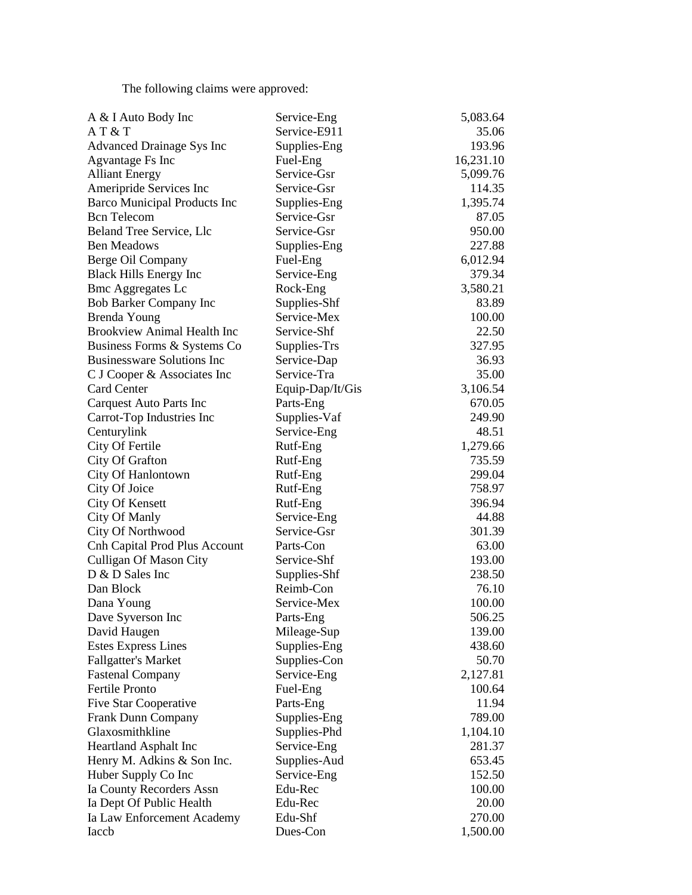The following claims were approved:

| A & I Auto Body Inc                  | Service-Eng      | 5,083.64  |
|--------------------------------------|------------------|-----------|
| AT & T                               | Service-E911     | 35.06     |
| Advanced Drainage Sys Inc            | Supplies-Eng     | 193.96    |
| Agvantage Fs Inc                     | Fuel-Eng         | 16,231.10 |
| <b>Alliant Energy</b>                | Service-Gsr      | 5,099.76  |
| Ameripride Services Inc              | Service-Gsr      | 114.35    |
| <b>Barco Municipal Products Inc</b>  | Supplies-Eng     | 1,395.74  |
| <b>Bcn</b> Telecom                   | Service-Gsr      | 87.05     |
| Beland Tree Service, Llc             | Service-Gsr      | 950.00    |
| <b>Ben Meadows</b>                   | Supplies-Eng     | 227.88    |
| Berge Oil Company                    | Fuel-Eng         | 6,012.94  |
| <b>Black Hills Energy Inc</b>        | Service-Eng      | 379.34    |
| <b>Bmc Aggregates Lc</b>             | Rock-Eng         | 3,580.21  |
| <b>Bob Barker Company Inc</b>        | Supplies-Shf     | 83.89     |
| Brenda Young                         | Service-Mex      | 100.00    |
| <b>Brookview Animal Health Inc</b>   | Service-Shf      | 22.50     |
| Business Forms & Systems Co.         | Supplies-Trs     | 327.95    |
| <b>Businessware Solutions Inc</b>    | Service-Dap      | 36.93     |
| C J Cooper & Associates Inc          | Service-Tra      | 35.00     |
| Card Center                          | Equip-Dap/It/Gis | 3,106.54  |
| Carquest Auto Parts Inc              | Parts-Eng        | 670.05    |
| Carrot-Top Industries Inc            | Supplies-Vaf     | 249.90    |
| Centurylink                          | Service-Eng      | 48.51     |
| City Of Fertile                      | Rutf-Eng         | 1,279.66  |
| City Of Grafton                      | Rutf-Eng         | 735.59    |
| City Of Hanlontown                   | Rutf-Eng         | 299.04    |
| City Of Joice                        | Rutf-Eng         | 758.97    |
| <b>City Of Kensett</b>               | Rutf-Eng         | 396.94    |
| City Of Manly                        | Service-Eng      | 44.88     |
| City Of Northwood                    | Service-Gsr      | 301.39    |
| <b>Cnh Capital Prod Plus Account</b> | Parts-Con        | 63.00     |
| <b>Culligan Of Mason City</b>        | Service-Shf      | 193.00    |
| D & D Sales Inc                      | Supplies-Shf     | 238.50    |
| Dan Block                            | Reimb-Con        | 76.10     |
| Dana Young                           | Service-Mex      | 100.00    |
| Dave Syverson Inc                    | Parts-Eng        | 506.25    |
| David Haugen                         | Mileage-Sup      | 139.00    |
| <b>Estes Express Lines</b>           | Supplies-Eng     | 438.60    |
| <b>Fallgatter's Market</b>           | Supplies-Con     | 50.70     |
| <b>Fastenal Company</b>              | Service-Eng      | 2,127.81  |
| <b>Fertile Pronto</b>                | Fuel-Eng         | 100.64    |
| Five Star Cooperative                | Parts-Eng        | 11.94     |
| <b>Frank Dunn Company</b>            | Supplies-Eng     | 789.00    |
| Glaxosmithkline                      | Supplies-Phd     | 1,104.10  |
| Heartland Asphalt Inc                | Service-Eng      | 281.37    |
| Henry M. Adkins & Son Inc.           | Supplies-Aud     | 653.45    |
| Huber Supply Co Inc                  | Service-Eng      | 152.50    |
| Ia County Recorders Assn             | Edu-Rec          | 100.00    |
| Ia Dept Of Public Health             | Edu-Rec          | 20.00     |
| Ia Law Enforcement Academy           | Edu-Shf          | 270.00    |
| Iaccb                                | Dues-Con         | 1,500.00  |
|                                      |                  |           |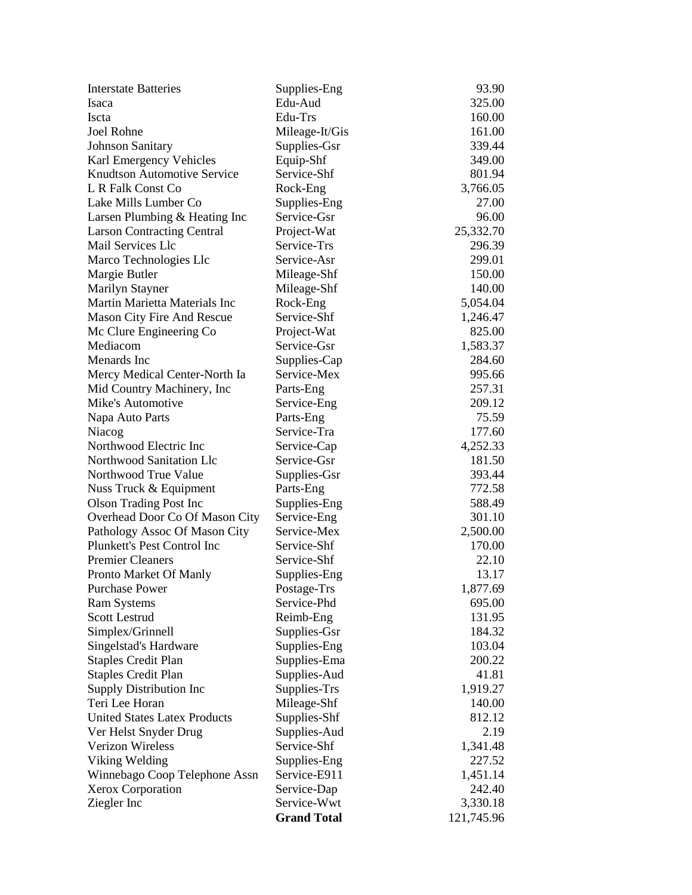| <b>Interstate Batteries</b>         | Supplies-Eng       | 93.90      |
|-------------------------------------|--------------------|------------|
| Isaca                               | Edu-Aud            | 325.00     |
| <b>Iscta</b>                        | Edu-Trs            | 160.00     |
| <b>Joel Rohne</b>                   | Mileage-It/Gis     | 161.00     |
| <b>Johnson Sanitary</b>             | Supplies-Gsr       | 339.44     |
| Karl Emergency Vehicles             | Equip-Shf          | 349.00     |
| <b>Knudtson Automotive Service</b>  | Service-Shf        | 801.94     |
| L R Falk Const Co                   | Rock-Eng           | 3,766.05   |
| Lake Mills Lumber Co                | Supplies-Eng       | 27.00      |
| Larsen Plumbing & Heating Inc       | Service-Gsr        | 96.00      |
| <b>Larson Contracting Central</b>   | Project-Wat        | 25,332.70  |
| Mail Services Llc                   | Service-Trs        | 296.39     |
| Marco Technologies Llc              | Service-Asr        | 299.01     |
| Margie Butler                       | Mileage-Shf        | 150.00     |
| Marilyn Stayner                     | Mileage-Shf        | 140.00     |
| Martin Marietta Materials Inc       | Rock-Eng           | 5,054.04   |
| Mason City Fire And Rescue          | Service-Shf        | 1,246.47   |
| Mc Clure Engineering Co             | Project-Wat        | 825.00     |
| Mediacom                            | Service-Gsr        | 1,583.37   |
| Menards Inc                         | Supplies-Cap       | 284.60     |
| Mercy Medical Center-North Ia       | Service-Mex        | 995.66     |
| Mid Country Machinery, Inc.         | Parts-Eng          | 257.31     |
| Mike's Automotive                   | Service-Eng        | 209.12     |
| Napa Auto Parts                     | Parts-Eng          | 75.59      |
| Niacog                              | Service-Tra        | 177.60     |
| Northwood Electric Inc              | Service-Cap        | 4,252.33   |
| Northwood Sanitation Llc            | Service-Gsr        | 181.50     |
| Northwood True Value                | Supplies-Gsr       | 393.44     |
| Nuss Truck & Equipment              | Parts-Eng          | 772.58     |
| <b>Olson Trading Post Inc</b>       | Supplies-Eng       | 588.49     |
| Overhead Door Co Of Mason City      | Service-Eng        | 301.10     |
| Pathology Assoc Of Mason City       | Service-Mex        | 2,500.00   |
| Plunkett's Pest Control Inc         | Service-Shf        | 170.00     |
| <b>Premier Cleaners</b>             | Service-Shf        | 22.10      |
| Pronto Market Of Manly              | Supplies-Eng       | 13.17      |
| <b>Purchase Power</b>               | Postage-Trs        | 1,877.69   |
| <b>Ram Systems</b>                  | Service-Phd        | 695.00     |
| <b>Scott Lestrud</b>                | Reimb-Eng          | 131.95     |
| Simplex/Grinnell                    | Supplies-Gsr       | 184.32     |
| Singelstad's Hardware               | Supplies-Eng       | 103.04     |
| <b>Staples Credit Plan</b>          | Supplies-Ema       | 200.22     |
| <b>Staples Credit Plan</b>          | Supplies-Aud       | 41.81      |
| Supply Distribution Inc             | Supplies-Trs       | 1,919.27   |
| Teri Lee Horan                      | Mileage-Shf        | 140.00     |
| <b>United States Latex Products</b> | Supplies-Shf       | 812.12     |
| Ver Helst Snyder Drug               | Supplies-Aud       | 2.19       |
| Verizon Wireless                    | Service-Shf        | 1,341.48   |
| Viking Welding                      | Supplies-Eng       | 227.52     |
| Winnebago Coop Telephone Assn       | Service-E911       | 1,451.14   |
| <b>Xerox Corporation</b>            | Service-Dap        | 242.40     |
| Ziegler Inc                         | Service-Wwt        | 3,330.18   |
|                                     | <b>Grand Total</b> | 121,745.96 |